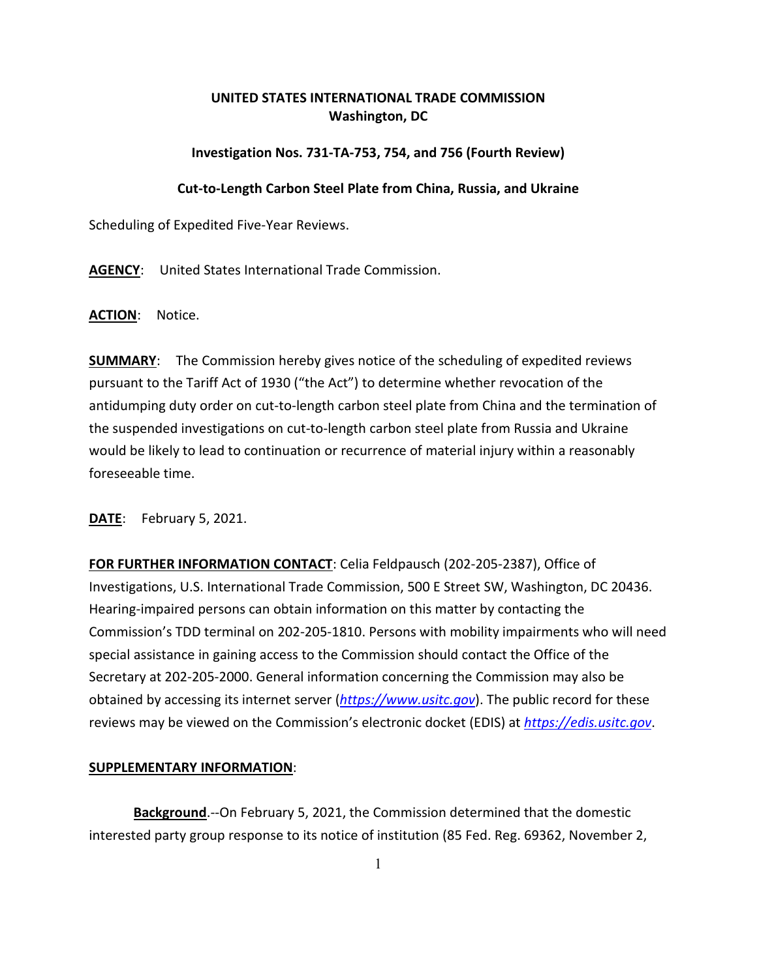## **UNITED STATES INTERNATIONAL TRADE COMMISSION Washington, DC**

## **Investigation Nos. 731-TA-753, 754, and 756 (Fourth Review)**

## **Cut-to-Length Carbon Steel Plate from China, Russia, and Ukraine**

Scheduling of Expedited Five-Year Reviews.

**AGENCY**: United States International Trade Commission.

**ACTION**: Notice.

**SUMMARY**: The Commission hereby gives notice of the scheduling of expedited reviews pursuant to the Tariff Act of 1930 ("the Act") to determine whether revocation of the antidumping duty order on cut-to-length carbon steel plate from China and the termination of the suspended investigations on cut-to-length carbon steel plate from Russia and Ukraine would be likely to lead to continuation or recurrence of material injury within a reasonably foreseeable time.

**DATE**: February 5, 2021.

**FOR FURTHER INFORMATION CONTACT**: Celia Feldpausch (202-205-2387), Office of Investigations, U.S. International Trade Commission, 500 E Street SW, Washington, DC 20436. Hearing-impaired persons can obtain information on this matter by contacting the Commission's TDD terminal on 202-205-1810. Persons with mobility impairments who will need special assistance in gaining access to the Commission should contact the Office of the Secretary at 202-205-2000. General information concerning the Commission may also be obtained by accessing its internet server (*[https://www.usitc.gov](https://www.usitc.gov/)*). The public record for these reviews may be viewed on the Commission's electronic docket (EDIS) at *[https://edis.usitc.gov](https://edis.usitc.gov/)*.

## **SUPPLEMENTARY INFORMATION**:

**Background**.--On February 5, 2021, the Commission determined that the domestic interested party group response to its notice of institution (85 Fed. Reg. 69362, November 2,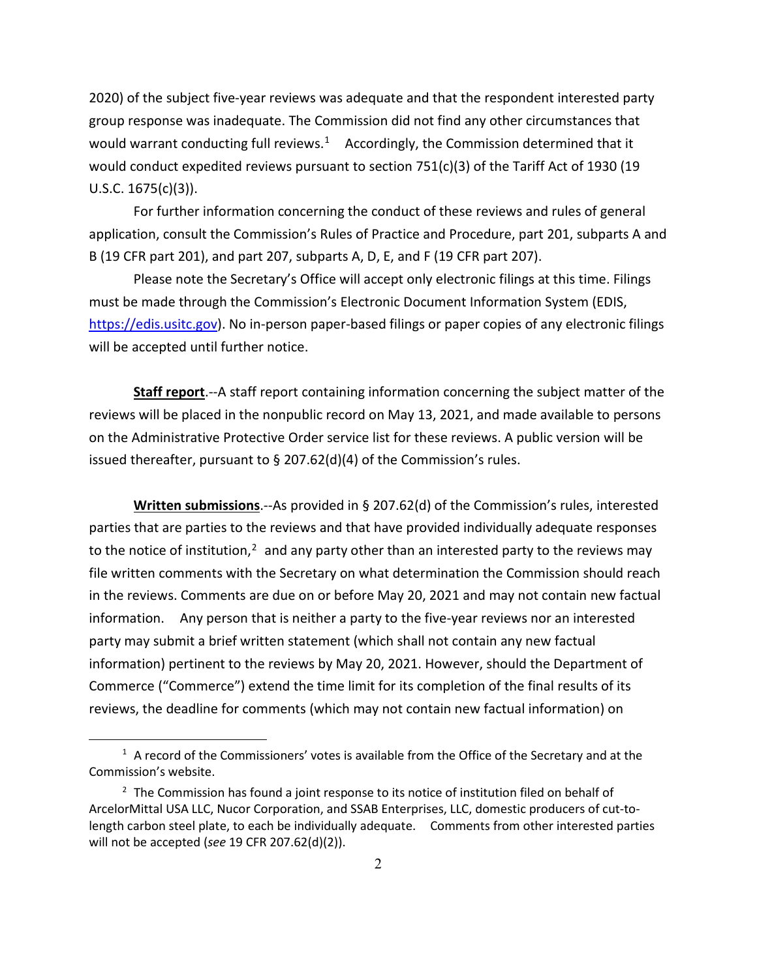2020) of the subject five-year reviews was adequate and that the respondent interested party group response was inadequate. The Commission did not find any other circumstances that would warrant conducting full reviews.<sup>1</sup> Accordingly, the Commission determined that it would conduct expedited reviews pursuant to section  $751(c)(3)$  of the Tariff Act of 1930 (19 U.S.C. 1675(c)(3)).

For further information concerning the conduct of these reviews and rules of general application, consult the Commission's Rules of Practice and Procedure, part 201, subparts A and B (19 CFR part 201), and part 207, subparts A, D, E, and F (19 CFR part 207).

Please note the Secretary's Office will accept only electronic filings at this time. Filings must be made through the Commission's Electronic Document Information System (EDIS, [https://edis.usitc.gov\)](https://edis.usitc.gov/). No in-person paper-based filings or paper copies of any electronic filings will be accepted until further notice.

**Staff report**.--A staff report containing information concerning the subject matter of the reviews will be placed in the nonpublic record on May 13, 2021, and made available to persons on the Administrative Protective Order service list for these reviews. A public version will be issued thereafter, pursuant to § 207.62(d)(4) of the Commission's rules.

**Written submissions**.--As provided in § 207.62(d) of the Commission's rules, interested parties that are parties to the reviews and that have provided individually adequate responses to the notice of institution, $2$  and any party other than an interested party to the reviews may file written comments with the Secretary on what determination the Commission should reach in the reviews. Comments are due on or before May 20, 2021 and may not contain new factual information. Any person that is neither a party to the five-year reviews nor an interested party may submit a brief written statement (which shall not contain any new factual information) pertinent to the reviews by May 20, 2021. However, should the Department of Commerce ("Commerce") extend the time limit for its completion of the final results of its reviews, the deadline for comments (which may not contain new factual information) on

<span id="page-1-0"></span> $1$  A record of the Commissioners' votes is available from the Office of the Secretary and at the Commission's website.

<span id="page-1-1"></span><sup>&</sup>lt;sup>2</sup> The Commission has found a joint response to its notice of institution filed on behalf of ArcelorMittal USA LLC, Nucor Corporation, and SSAB Enterprises, LLC, domestic producers of cut-tolength carbon steel plate, to each be individually adequate. Comments from other interested parties will not be accepted (*see* 19 CFR 207.62(d)(2)).